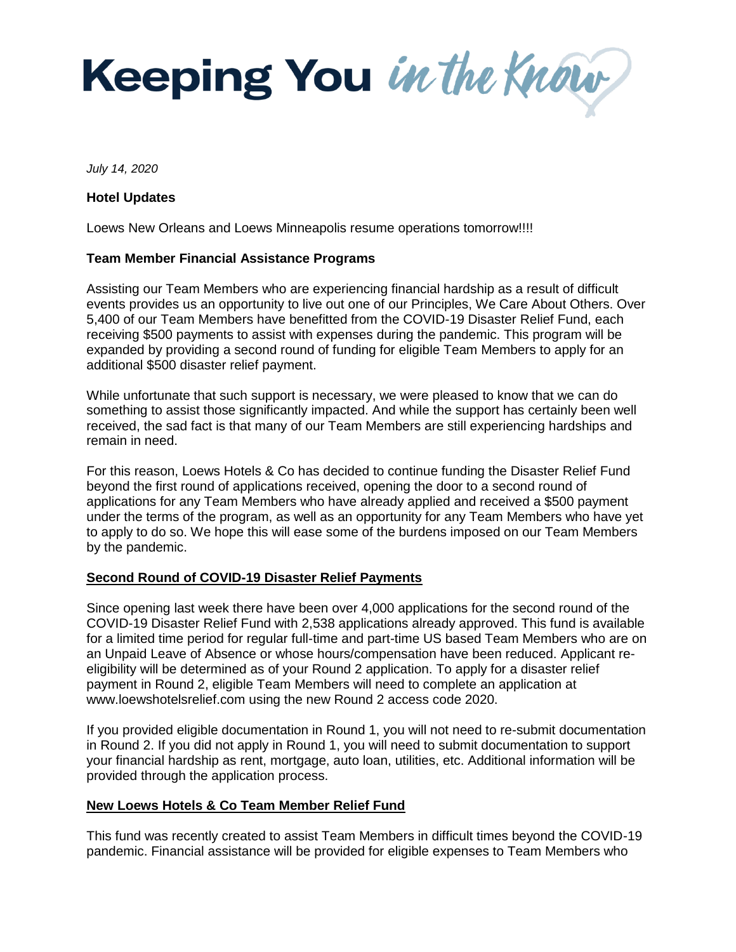Keeping You in the Know

*July 14, 2020*

## **Hotel Updates**

Loews New Orleans and Loews Minneapolis resume operations tomorrow!!!!

## **Team Member Financial Assistance Programs**

Assisting our Team Members who are experiencing financial hardship as a result of difficult events provides us an opportunity to live out one of our Principles, We Care About Others. Over 5,400 of our Team Members have benefitted from the COVID-19 Disaster Relief Fund, each receiving \$500 payments to assist with expenses during the pandemic. This program will be expanded by providing a second round of funding for eligible Team Members to apply for an additional \$500 disaster relief payment.

While unfortunate that such support is necessary, we were pleased to know that we can do something to assist those significantly impacted. And while the support has certainly been well received, the sad fact is that many of our Team Members are still experiencing hardships and remain in need.

For this reason, Loews Hotels & Co has decided to continue funding the Disaster Relief Fund beyond the first round of applications received, opening the door to a second round of applications for any Team Members who have already applied and received a \$500 payment under the terms of the program, as well as an opportunity for any Team Members who have yet to apply to do so. We hope this will ease some of the burdens imposed on our Team Members by the pandemic.

## **Second Round of COVID-19 Disaster Relief Payments**

Since opening last week there have been over 4,000 applications for the second round of the COVID-19 Disaster Relief Fund with 2,538 applications already approved. This fund is available for a limited time period for regular full-time and part-time US based Team Members who are on an Unpaid Leave of Absence or whose hours/compensation have been reduced. Applicant reeligibility will be determined as of your Round 2 application. To apply for a disaster relief payment in Round 2, eligible Team Members will need to complete an application at www.loewshotelsrelief.com using the new Round 2 access code 2020.

If you provided eligible documentation in Round 1, you will not need to re-submit documentation in Round 2. If you did not apply in Round 1, you will need to submit documentation to support your financial hardship as rent, mortgage, auto loan, utilities, etc. Additional information will be provided through the application process.

## **New Loews Hotels & Co Team Member Relief Fund**

This fund was recently created to assist Team Members in difficult times beyond the COVID-19 pandemic. Financial assistance will be provided for eligible expenses to Team Members who